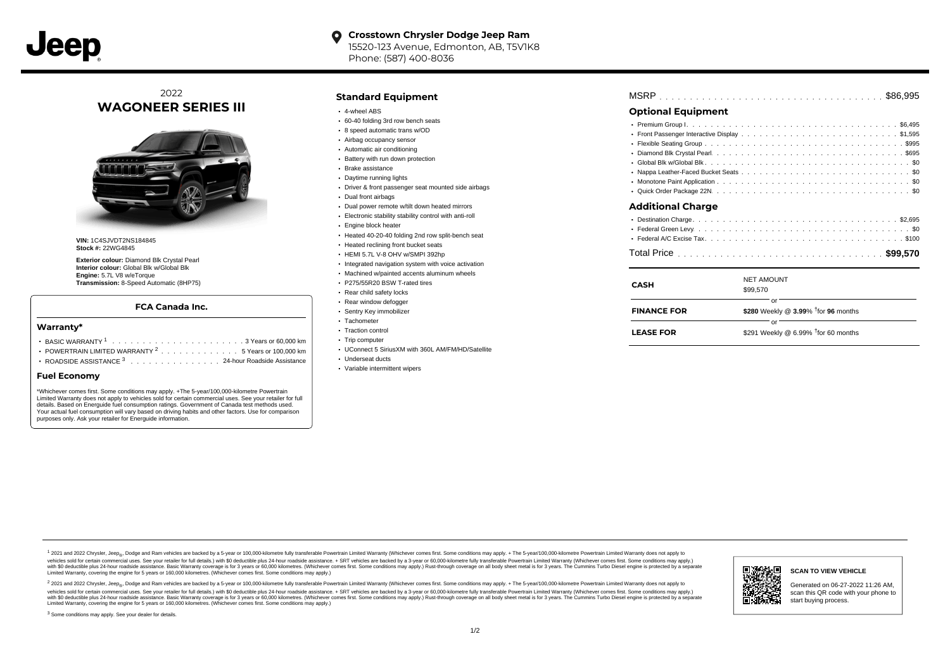

## 2022 **WAGONEER SERIES III**



**VIN:** 1C4SJVDT2NS184845 **Stock #:** 22WG4845

**Exterior colour:** Diamond Blk Crystal Pearl **Interior colour:** Global Blk w/Global Blk **Engine:** 5.7L V8 w/eTorque **Transmission:** 8-Speed Automatic (8HP75)

#### **FCA Canada Inc.**

#### **Warranty\***

- . . . . . . . . . . . . . . . . . . . . . . . . . . . . . . . . . . . . . . . . . . . BASIC WARRANTY <sup>1</sup> 3 Years or 60,000 km POWERTRAIN LIMITED WARRANTY  $2 \ldots \ldots \ldots \ldots \ldots 5$  Years or 100,000 km
- ROADSIDE ASSISTANCE 3 . . . . . . . . . . . . . . . 24-hour Roadside Assistance

#### **Fuel Economy**

\*Whichever comes first. Some conditions may apply. +The 5-year/100,000-kilometre Powertrain Limited Warranty does not apply to vehicles sold for certain commercial uses. See your retailer for full details. Based on Energuide fuel consumption ratings. Government of Canada test methods used. Your actual fuel consumption will vary based on driving habits and other factors. Use for comparison purposes only. Ask your retailer for Energuide information.

### **Standard Equipment**

- 4-wheel ABS
- 60-40 folding 3rd row bench seats
- 8 speed automatic trans w/OD
- Airbag occupancy sensor
- Automatic air conditioning
- Battery with run down protection
- Brake assistance
- Daytime running lights
- Driver & front passenger seat mounted side airbags
- Dual front airbags
- Dual power remote w/tilt down heated mirrors
- Electronic stability stability control with anti-roll
- Engine block heater
- Heated 40-20-40 folding 2nd row split-bench seat
- **Heated reclining front bucket seats**
- HEMI 5.7L V-8 OHV w/SMPI 392hp
- Integrated navigation system with voice activation Machined w/painted accents aluminum wheels
	- P275/55R20 BSW T-rated tires
	- Rear child safety locks
	-
	- Rear window defogger Sentry Key immobilizer
	- Tachometer
	- Traction control
	- Trip computer
	- UConnect 5 SiriusXM with 360L AM/FM/HD/Satellite
	- Underseat ducts
	- Variable intermittent wipers

# . . . . . . . . . . . . . . . . . . . . . . . . . . . . . . . . . . . . . . . . . . . . . . MSRP \$86,995

### **Optional Equipment**

| <b>Additional Charge</b> |
|--------------------------|
|                          |
|                          |
|                          |
|                          |

| CASH               | <b>NET AMOUNT</b><br>\$99,570                         |
|--------------------|-------------------------------------------------------|
| <b>FINANCE FOR</b> | Ωľ<br>\$280 Weekly @ 3.99% <sup>†</sup> for 96 months |
| <b>LEASE FOR</b>   | nr<br>\$291 Weekly @ 6.99% $†$ for 60 months          |

1 2021 and 2022 Chrysler, Jeep<sub>er</sub>, Dodge and Ram vehicles are backed by a 5-year or 100,000-kilometre fully transferable Powertrain Limited Warranty (Whichever comes first. Some conditions may apply. + The 5-year/100,000debt of the product of the control and season to the control and the control of the control of the control of the control of the control of the SA-hour madside assistance. + SRT vehicles are backed by a 3-year or 60.00-kil ventals and contract when the contract when the contract you contract when the contract when the control of the set of a set of a set of a set of 3 years of 60,000 kilometres. Whichever comes first. Some conditions may app Limited Warranty, covering the engine for 5 years or 160,000 kilometres. (Whichever comes first. Some conditions may apply.)

2 2021 and 2022 Chrysler, Jeep<sub>es</sub> Dodge and Ram vehicles are backed by a 5-year or 100,000-kilometre fully transferable Powertrain Limited Warranty (Whichever comes first. Some conditions may apply. + The 5-year/100,000-k vehicles sold for certain commercial uses. See your retailer for full details.) with SO deductible plus 24-hour roadside assistance. + SRT vehicles are backed by a 3-year or 60.000-kilometre fully transferable Powertrain L with S0 deductible plus 24-hour roadside assistance. Basic Warranty coverage is for 3 years or 60,000 kilometres. (Whichever comes first. Some conditions may apply.) Rust-through coverage on all body sheet metal is for 3 y ы ہ ۔

**SCAN TO VIEW VEHICLE** Generated on 06-27-2022 11:26 AM, scan this QR code with your phone to

start buying process.

<sup>3</sup> Some conditions may apply. See your dealer for details.